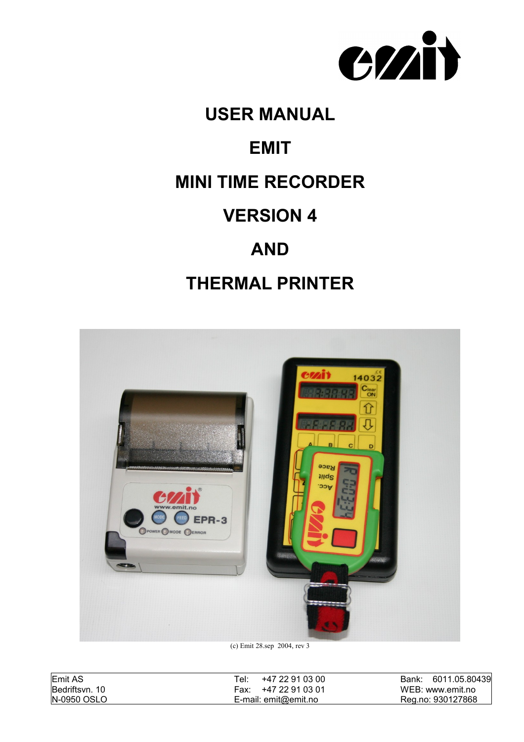

# **USER MANUAL EMIT MINI TIME RECORDER VERSION 4 AND**

# **THERMAL PRINTER**



(c) Emit 28.sep 2004, rev 3

| Emit AS        | ⊤el:<br>+47 22 91 03 00 | 6011.05.80439<br>Bank: |
|----------------|-------------------------|------------------------|
| Bedriftsvn. 10 | +47 22 91 03 01<br>Fax: | WEB: www.emit.no       |
| N-0950 OSLO    | E-mail: $emit@emit.no$  | Reg.no: 930127868      |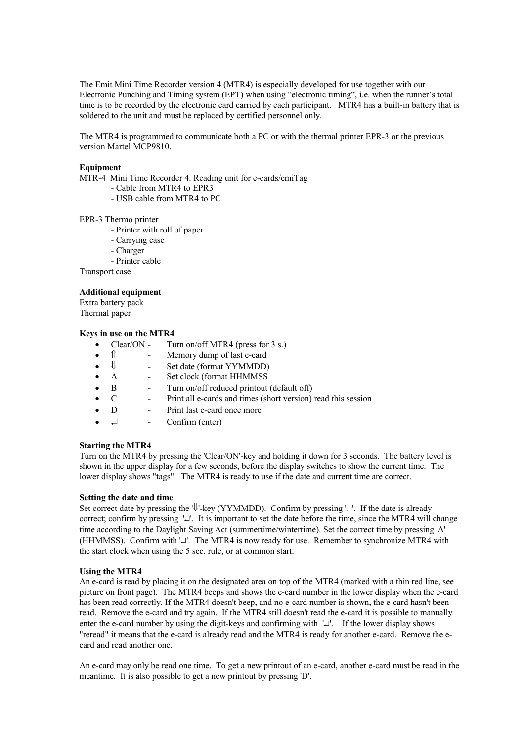The Emit Mini Time Recorder version 4 (MTR4) is especially developed for use together with our Electronic Punching and Timing system (EPT) when using "electronic timing", i.e. when the runner's total time is to be recorded by the electronic card carried by each participant. MTR4 has a built-in battery that is soldered to the unit and must be replaced by certified personnel only.

The MTR4 is programmed to communicate both a PC or with the thermal printer EPR-3 or the previous version Martel MCP9810.

#### **Equipment**

MTR-4 Mini Time Recorder 4. Reading unit for e-cards/emiTag

- Cable from MTR4 to EPR3
- USB cable from MTR4 to PC

#### EPR-3 Thermo printer

- Printer with roll of paper
- Carrying case
- Charger
- Printer cable

Transport case

#### **Additional equipment**

Extra battery pack Thermal paper

#### **Keys in use on the MTR4**

- Clear/ON Turn on/off MTR4 (press for 3 s.)
- Memory dump of last e-card
- $\bullet$   $\Downarrow$  Set date (format YYMMDD)
- A Set clock (format HHMMSS
- B Turn on/off reduced printout (default off)
- C Print all e-cards and times (short version) read this session
- D Print last e-card once more
- $\bullet$   $\quad$   $\Box$   $\qquad$  Confirm (enter)

#### **Starting the MTR4**

Turn on the MTR4 by pressing the 'Clear/ON'-key and holding it down for 3 seconds. The battery level is shown in the upper display for a few seconds, before the display switches to show the current time. The lower display shows "tags". The MTR4 is ready to use if the date and current time are correct.

#### **Setting the date and time**

Set correct date by pressing the  $\psi$ -key (YYMMDD). Confirm by pressing ' $\psi$ . If the date is already correct; confirm by pressing '\pi \]. It is important to set the date before the time, since the MTR4 will change time according to the Daylight Saving Act (summertime/wintertime). Set the correct time by pressing 'A' (HHMMSS). Confirm with '...". The MTR4 is now ready for use. Remember to synchronize MTR4 with the start clock when using the 5 sec. rule, or at common start.

#### **Using the MTR4**

An e-card is read by placing it on the designated area on top of the MTR4 (marked with a thin red line, see picture on front page). The MTR4 beeps and shows the e-card number in the lower display when the e-card has been read correctly. If the MTR4 doesn't beep, and no e-card number is shown, the e-card hasn't been read. Remove the e-card and try again. If the MTR4 still doesn't read the e-card it is possible to manually enter the e-card number by using the digit-keys and confirming with  $'\cup'$ . If the lower display shows "reread" it means that the e-card is already read and the MTR4 is ready for another e-card. Remove the ecard and read another one.

An e-card may only be read one time. To get a new printout of an e-card, another e-card must be read in the meantime. It is also possible to get a new printout by pressing 'D'.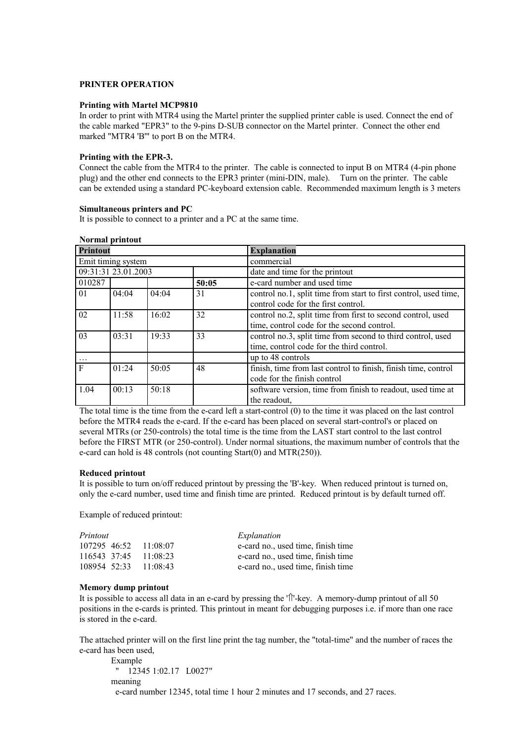#### **PRINTER OPERATION**

#### **Printing with Martel MCP9810**

In order to print with MTR4 using the Martel printer the supplied printer cable is used. Connect the end of the cable marked "EPR3" to the 9-pins D-SUB connector on the Martel printer. Connect the other end marked "MTR4 'B'" to port B on the MTR4.

#### **Printing with the EPR-3.**

Connect the cable from the MTR4 to the printer. The cable is connected to input B on MTR4 (4-pin phone plug) and the other end connects to the EPR3 printer (mini-DIN, male). Turn on the printer. The cable can be extended using a standard PC-keyboard extension cable. Recommended maximum length is 3 meters

#### **Simultaneous printers and PC**

**Normal printout**

It is possible to connect to a printer and a PC at the same time.

| TWL mal pl mwut     |       |       |                                |                                                                  |  |  |
|---------------------|-------|-------|--------------------------------|------------------------------------------------------------------|--|--|
| <b>Printout</b>     |       |       |                                | <b>Explanation</b>                                               |  |  |
| Emit timing system  |       |       | commercial                     |                                                                  |  |  |
| 09:31:31 23.01.2003 |       |       | date and time for the printout |                                                                  |  |  |
| 010287              |       |       | 50:05                          | e-card number and used time                                      |  |  |
| 01                  | 04:04 | 04:04 | 31                             | control no.1, split time from start to first control, used time, |  |  |
|                     |       |       |                                | control code for the first control.                              |  |  |
| 02                  | 11:58 | 16:02 | 32                             | control no.2, split time from first to second control, used      |  |  |
|                     |       |       |                                | time, control code for the second control.                       |  |  |
| 03                  | 03:31 | 19:33 | 33                             | control no.3, split time from second to third control, used      |  |  |
|                     |       |       |                                | time, control code for the third control.                        |  |  |
| $\cdots$            |       |       |                                | up to 48 controls                                                |  |  |
| $\mathbf{F}$        | 01:24 | 50:05 | 48                             | finish, time from last control to finish, finish time, control   |  |  |
|                     |       |       |                                | code for the finish control                                      |  |  |
| 1.04                | 00:13 | 50:18 |                                | software version, time from finish to readout, used time at      |  |  |
|                     |       |       |                                | the readout.                                                     |  |  |

The total time is the time from the e-card left a start-control (0) to the time it was placed on the last control before the MTR4 reads the e-card. If the e-card has been placed on several start-control's or placed on several MTRs (or 250-controls) the total time is the time from the LAST start control to the last control before the FIRST MTR (or 250-control). Under normal situations, the maximum number of controls that the e-card can hold is 48 controls (not counting Start(0) and MTR(250)).

#### **Reduced printout**

It is possible to turn on/off reduced printout by pressing the 'B'-key. When reduced printout is turned on, only the e-card number, used time and finish time are printed. Reduced printout is by default turned off.

Example of reduced printout:

| Printout |                           | Explanation                        |
|----------|---------------------------|------------------------------------|
|          | 107295 46:52 11:08:07     | e-card no., used time, finish time |
|          | $116543$ 37:45 $11:08:23$ | e-card no., used time, finish time |
|          | 108954 52:33 11:08:43     | e-card no., used time, finish time |

#### **Memory dump printout**

It is possible to access all data in an e-card by pressing the  $\gamma$ -key. A memory-dump printout of all 50 positions in the e-cards is printed. This printout in meant for debugging purposes i.e. if more than one race is stored in the e-card.

The attached printer will on the first line print the tag number, the "total-time" and the number of races the e-card has been used,

Example " 12345 1:02.17 L0027" meaning e-card number 12345, total time 1 hour 2 minutes and 17 seconds, and 27 races.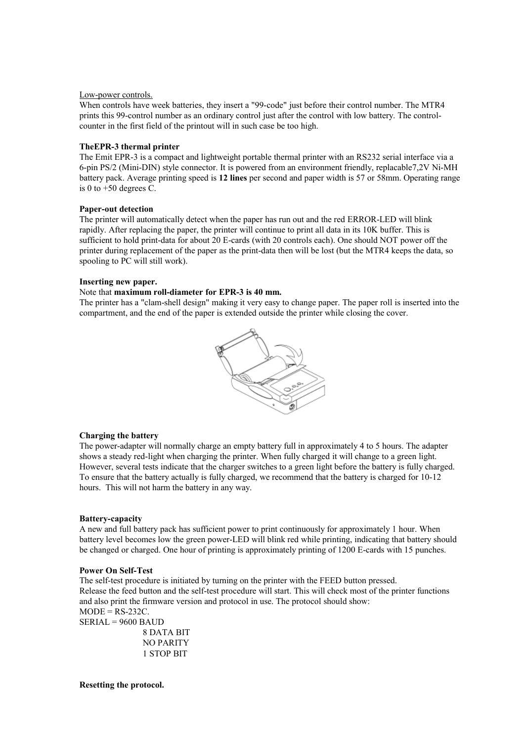#### Low-power controls.

When controls have week batteries, they insert a "99-code" just before their control number. The MTR4 prints this 99-control number as an ordinary control just after the control with low battery. The controlcounter in the first field of the printout will in such case be too high.

## **TheEPR-3 thermal printer**

The Emit EPR-3 is a compact and lightweight portable thermal printer with an RS232 serial interface via a 6-pin PS/2 (Mini-DIN) style connector. It is powered from an environment friendly, replacable7,2V Ni-MH battery pack. Average printing speed is **12 lines** per second and paper width is 57 or 58mm. Operating range is 0 to  $+50$  degrees C.

#### **Paper-out detection**

The printer will automatically detect when the paper has run out and the red ERROR-LED will blink rapidly. After replacing the paper, the printer will continue to print all data in its 10K buffer. This is sufficient to hold print-data for about 20 E-cards (with 20 controls each). One should NOT power off the printer during replacement of the paper as the print-data then will be lost (but the MTR4 keeps the data, so spooling to PC will still work).

#### **Inserting new paper.**

## Note that **maximum roll-diameter for EPR-3 is 40 mm.**

The printer has a "clam-shell design" making it very easy to change paper. The paper roll is inserted into the compartment, and the end of the paper is extended outside the printer while closing the cover.



# **Charging the battery**

The power-adapter will normally charge an empty battery full in approximately 4 to 5 hours. The adapter shows a steady red-light when charging the printer. When fully charged it will change to a green light. However, several tests indicate that the charger switches to a green light before the battery is fully charged. To ensure that the battery actually is fully charged, we recommend that the battery is charged for 10-12 hours. This will not harm the battery in any way.

# **Battery-capacity**

A new and full battery pack has sufficient power to print continuously for approximately 1 hour. When battery level becomes low the green power-LED will blink red while printing, indicating that battery should be changed or charged. One hour of printing is approximately printing of 1200 E-cards with 15 punches.

#### **Power On Self-Test**

The self-test procedure is initiated by turning on the printer with the FEED button pressed. Release the feed button and the self-test procedure will start. This will check most of the printer functions and also print the firmware version and protocol in use. The protocol should show:  $MODE = RS-232C$ . SERIAL = 9600 BAUD

8 DATA BIT NO PARITY 1 STOP BIT

**Resetting the protocol.**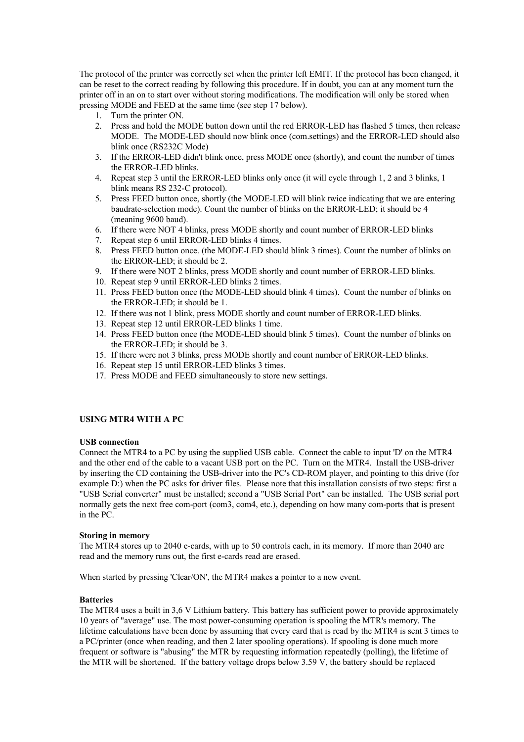The protocol of the printer was correctly set when the printer left EMIT. If the protocol has been changed, it can be reset to the correct reading by following this procedure. If in doubt, you can at any moment turn the printer off in an on to start over without storing modifications. The modification will only be stored when pressing MODE and FEED at the same time (see step 17 below).

- 1. Turn the printer ON.
- 2. Press and hold the MODE button down until the red ERROR-LED has flashed 5 times, then release MODE. The MODE-LED should now blink once (com.settings) and the ERROR-LED should also blink once (RS232C Mode)
- 3. If the ERROR-LED didn't blink once, press MODE once (shortly), and count the number of times the ERROR-LED blinks.
- 4. Repeat step 3 until the ERROR-LED blinks only once (it will cycle through 1, 2 and 3 blinks, 1 blink means RS 232-C protocol).
- 5. Press FEED button once, shortly (the MODE-LED will blink twice indicating that we are entering baudrate-selection mode). Count the number of blinks on the ERROR-LED; it should be 4 (meaning 9600 baud).
- 6. If there were NOT 4 blinks, press MODE shortly and count number of ERROR-LED blinks
- 7. Repeat step 6 until ERROR-LED blinks 4 times.
- 8. Press FEED button once. (the MODE-LED should blink 3 times). Count the number of blinks on the ERROR-LED; it should be 2.
- 9. If there were NOT 2 blinks, press MODE shortly and count number of ERROR-LED blinks.
- 10. Repeat step 9 until ERROR-LED blinks 2 times.
- 11. Press FEED button once (the MODE-LED should blink 4 times). Count the number of blinks on the ERROR-LED; it should be 1.
- 12. If there was not 1 blink, press MODE shortly and count number of ERROR-LED blinks.
- 13. Repeat step 12 until ERROR-LED blinks 1 time.
- 14. Press FEED button once (the MODE-LED should blink 5 times). Count the number of blinks on the ERROR-LED; it should be 3.
- 15. If there were not 3 blinks, press MODE shortly and count number of ERROR-LED blinks.
- 16. Repeat step 15 until ERROR-LED blinks 3 times.
- 17. Press MODE and FEED simultaneously to store new settings.

# **USING MTR4 WITH A PC**

#### **USB connection**

Connect the MTR4 to a PC by using the supplied USB cable. Connect the cable to input 'D' on the MTR4 and the other end of the cable to a vacant USB port on the PC. Turn on the MTR4. Install the USB-driver by inserting the CD containing the USB-driver into the PC's CD-ROM player, and pointing to this drive (for example D:) when the PC asks for driver files. Please note that this installation consists of two steps: first a "USB Serial converter" must be installed; second a "USB Serial Port" can be installed. The USB serial port normally gets the next free com-port (com3, com4, etc.), depending on how many com-ports that is present in the PC.

#### **Storing in memory**

The MTR4 stores up to 2040 e-cards, with up to 50 controls each, in its memory. If more than 2040 are read and the memory runs out, the first e-cards read are erased.

When started by pressing 'Clear/ON', the MTR4 makes a pointer to a new event.

#### **Batteries**

The MTR4 uses a built in 3,6 V Lithium battery. This battery has sufficient power to provide approximately 10 years of "average" use. The most power-consuming operation is spooling the MTR's memory. The lifetime calculations have been done by assuming that every card that is read by the MTR4 is sent 3 times to a PC/printer (once when reading, and then 2 later spooling operations). If spooling is done much more frequent or software is "abusing" the MTR by requesting information repeatedly (polling), the lifetime of the MTR will be shortened. If the battery voltage drops below 3.59 V, the battery should be replaced